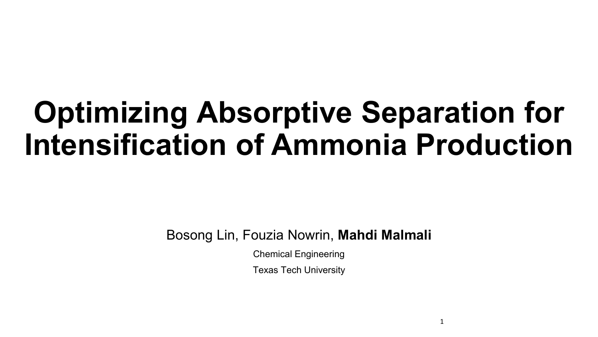# **Optimizing Absorptive Separation for Intensification of Ammonia Production**

Bosong Lin, Fouzia Nowrin, **Mahdi Malmali**

Chemical Engineering

Texas Tech University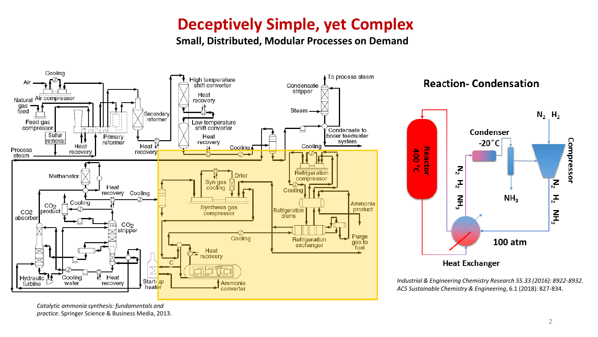## **Deceptively Simple, yet Complex**

**Small, Distributed, Modular Processes on Demand** 



**Reaction-Condensation** 



*Industrial & Engineering Chemistry Research 55.33 (2016): 8922-8932. ACS Sustainable Chemistry & Engineering*, 6.1 (2018): 827-834.

*Catalytic ammonia synthesis: fundamentals and practice*. Springer Science & Business Media, 2013.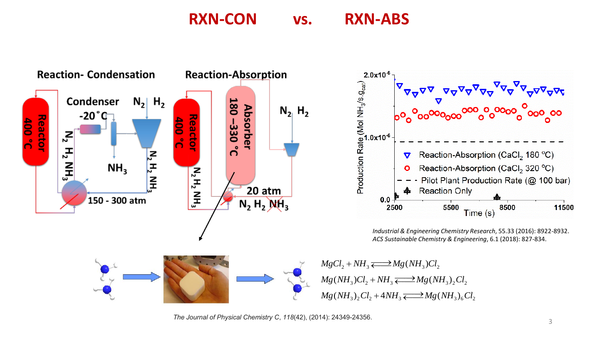## **RXN-CON vs. RXN-ABS**





*Industrial & Engineering Chemistry Research*, 55.33 (2016): 8922-8932. *ACS Sustainable Chemistry & Engineering*, 6.1 (2018): 827-834.

 $MgCl<sub>2</sub> + NH<sub>3</sub> \longrightarrow$   $Mg(NH<sub>3</sub>)Cl<sub>2</sub>$  $Mg(NH_3)Cl_2 + NH_3 \rightleftarrows Mg(NH_3)_2Cl_2$  $Mg(NH_2),Cl_2 + 4NH_3 \longrightarrow Mg(NH_2)_6Cl_2$ 

*The Journal of Physical Chemistry C*, *118*(42), (2014): 24349-24356.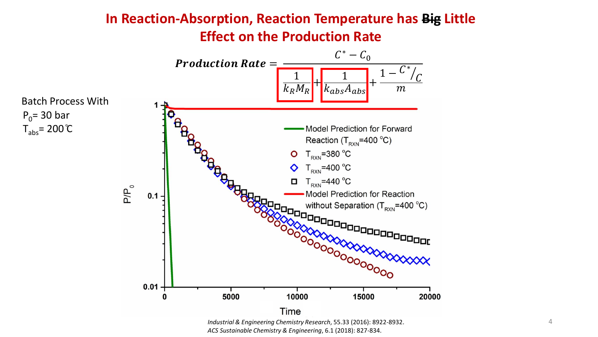### **In Reaction-Absorption, Reaction Temperature has Big Little Effect on the Production Rate**



*ACS Sustainable Chemistry & Engineering*, 6.1 (2018): 827-834.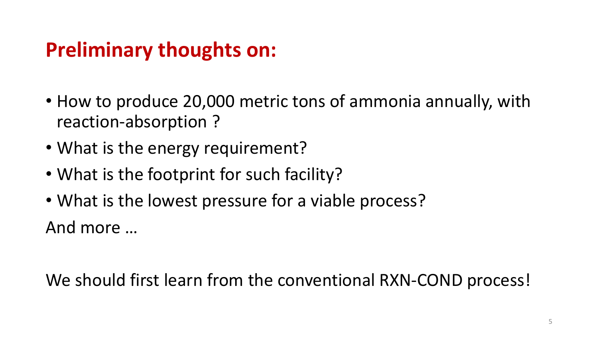## **Preliminary thoughts on:**

- How to produce 20,000 metric tons of ammonia annually, with reaction-absorption ?
- What is the energy requirement?
- What is the footprint for such facility?
- What is the lowest pressure for a viable process? And more …

We should first learn from the conventional RXN-COND process!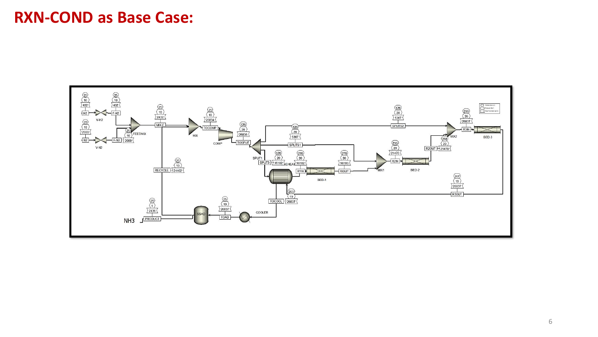### **RXN-COND as Base Case:**

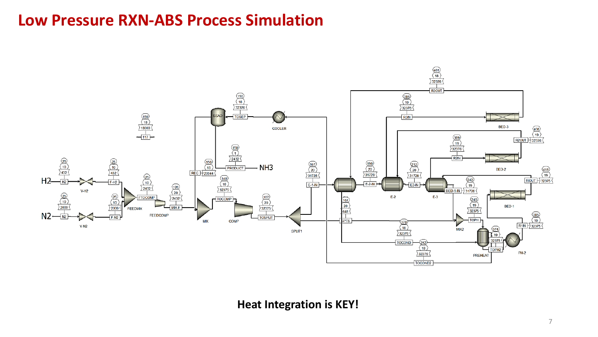### **Low Pressure RXN-ABS Process Simulation**



#### **Heat Integration is KEY!**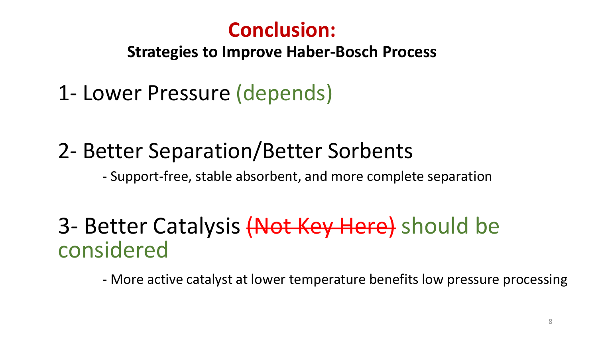## **Conclusion:**

**Strategies to Improve Haber-Bosch Process** 

1- Lower Pressure (depends)

## 2- Better Separation/Better Sorbents

- Support-free, stable absorbent, and more complete separation

## 3- Better Catalysis (Not Key Here) should be considered

- More active catalyst at lower temperature benefits low pressure processing